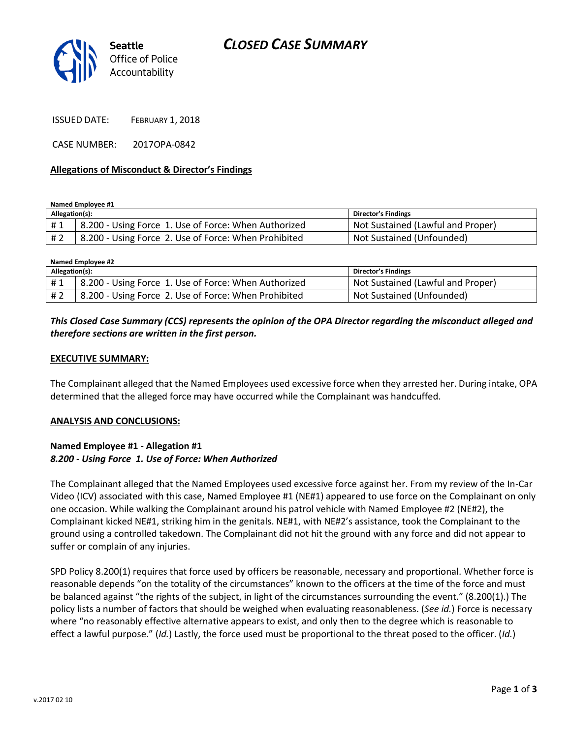# *CLOSED CASE SUMMARY*



ISSUED DATE: FEBRUARY 1, 2018

CASE NUMBER: 2017OPA-0842

#### **Allegations of Misconduct & Director's Findings**

**Named Employee #1**

| Allegation(s): |                                                      | <b>Director's Findings</b>        |
|----------------|------------------------------------------------------|-----------------------------------|
| #1             | 8.200 - Using Force 1. Use of Force: When Authorized | Not Sustained (Lawful and Proper) |
| # 2            | 8.200 - Using Force 2. Use of Force: When Prohibited | Not Sustained (Unfounded)         |

**Named Employee #2**

| Allegation(s): |                                                      | <b>Director's Findings</b>        |
|----------------|------------------------------------------------------|-----------------------------------|
| #1             | 8.200 - Using Force 1. Use of Force: When Authorized | Not Sustained (Lawful and Proper) |
| # 2            | 8.200 - Using Force 2. Use of Force: When Prohibited | Not Sustained (Unfounded)         |

## *This Closed Case Summary (CCS) represents the opinion of the OPA Director regarding the misconduct alleged and therefore sections are written in the first person.*

#### **EXECUTIVE SUMMARY:**

The Complainant alleged that the Named Employees used excessive force when they arrested her. During intake, OPA determined that the alleged force may have occurred while the Complainant was handcuffed.

#### **ANALYSIS AND CONCLUSIONS:**

#### **Named Employee #1 - Allegation #1** *8.200 - Using Force 1. Use of Force: When Authorized*

The Complainant alleged that the Named Employees used excessive force against her. From my review of the In-Car Video (ICV) associated with this case, Named Employee #1 (NE#1) appeared to use force on the Complainant on only one occasion. While walking the Complainant around his patrol vehicle with Named Employee #2 (NE#2), the Complainant kicked NE#1, striking him in the genitals. NE#1, with NE#2's assistance, took the Complainant to the ground using a controlled takedown. The Complainant did not hit the ground with any force and did not appear to suffer or complain of any injuries.

SPD Policy 8.200(1) requires that force used by officers be reasonable, necessary and proportional. Whether force is reasonable depends "on the totality of the circumstances" known to the officers at the time of the force and must be balanced against "the rights of the subject, in light of the circumstances surrounding the event." (8.200(1).) The policy lists a number of factors that should be weighed when evaluating reasonableness. (*See id.*) Force is necessary where "no reasonably effective alternative appears to exist, and only then to the degree which is reasonable to effect a lawful purpose." (*Id.*) Lastly, the force used must be proportional to the threat posed to the officer. (*Id.*)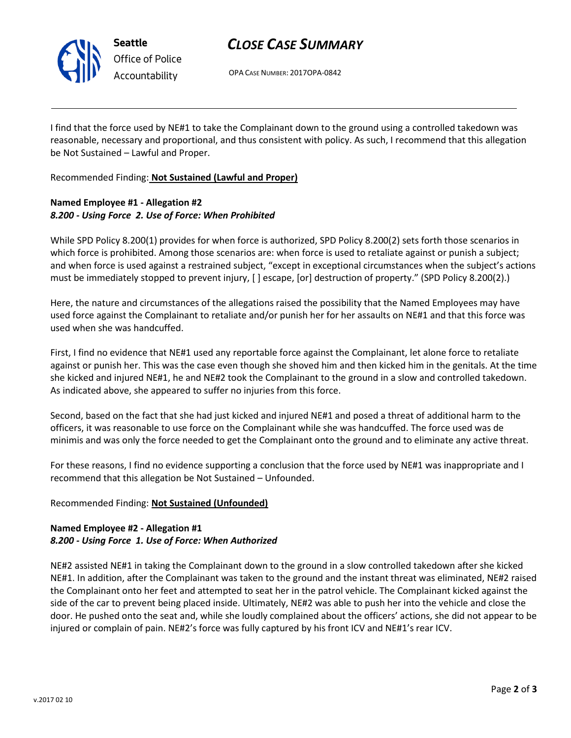

# *CLOSE CASE SUMMARY*

OPA CASE NUMBER: 2017OPA-0842

I find that the force used by NE#1 to take the Complainant down to the ground using a controlled takedown was reasonable, necessary and proportional, and thus consistent with policy. As such, I recommend that this allegation be Not Sustained – Lawful and Proper.

Recommended Finding: **Not Sustained (Lawful and Proper)**

## **Named Employee #1 - Allegation #2** *8.200 - Using Force 2. Use of Force: When Prohibited*

While SPD Policy 8.200(1) provides for when force is authorized, SPD Policy 8.200(2) sets forth those scenarios in which force is prohibited. Among those scenarios are: when force is used to retaliate against or punish a subject; and when force is used against a restrained subject, "except in exceptional circumstances when the subject's actions must be immediately stopped to prevent injury, [ ] escape, [or] destruction of property." (SPD Policy 8.200(2).)

Here, the nature and circumstances of the allegations raised the possibility that the Named Employees may have used force against the Complainant to retaliate and/or punish her for her assaults on NE#1 and that this force was used when she was handcuffed.

First, I find no evidence that NE#1 used any reportable force against the Complainant, let alone force to retaliate against or punish her. This was the case even though she shoved him and then kicked him in the genitals. At the time she kicked and injured NE#1, he and NE#2 took the Complainant to the ground in a slow and controlled takedown. As indicated above, she appeared to suffer no injuries from this force.

Second, based on the fact that she had just kicked and injured NE#1 and posed a threat of additional harm to the officers, it was reasonable to use force on the Complainant while she was handcuffed. The force used was de minimis and was only the force needed to get the Complainant onto the ground and to eliminate any active threat.

For these reasons, I find no evidence supporting a conclusion that the force used by NE#1 was inappropriate and I recommend that this allegation be Not Sustained – Unfounded.

## Recommended Finding: **Not Sustained (Unfounded)**

## **Named Employee #2 - Allegation #1** *8.200 - Using Force 1. Use of Force: When Authorized*

NE#2 assisted NE#1 in taking the Complainant down to the ground in a slow controlled takedown after she kicked NE#1. In addition, after the Complainant was taken to the ground and the instant threat was eliminated, NE#2 raised the Complainant onto her feet and attempted to seat her in the patrol vehicle. The Complainant kicked against the side of the car to prevent being placed inside. Ultimately, NE#2 was able to push her into the vehicle and close the door. He pushed onto the seat and, while she loudly complained about the officers' actions, she did not appear to be injured or complain of pain. NE#2's force was fully captured by his front ICV and NE#1's rear ICV.